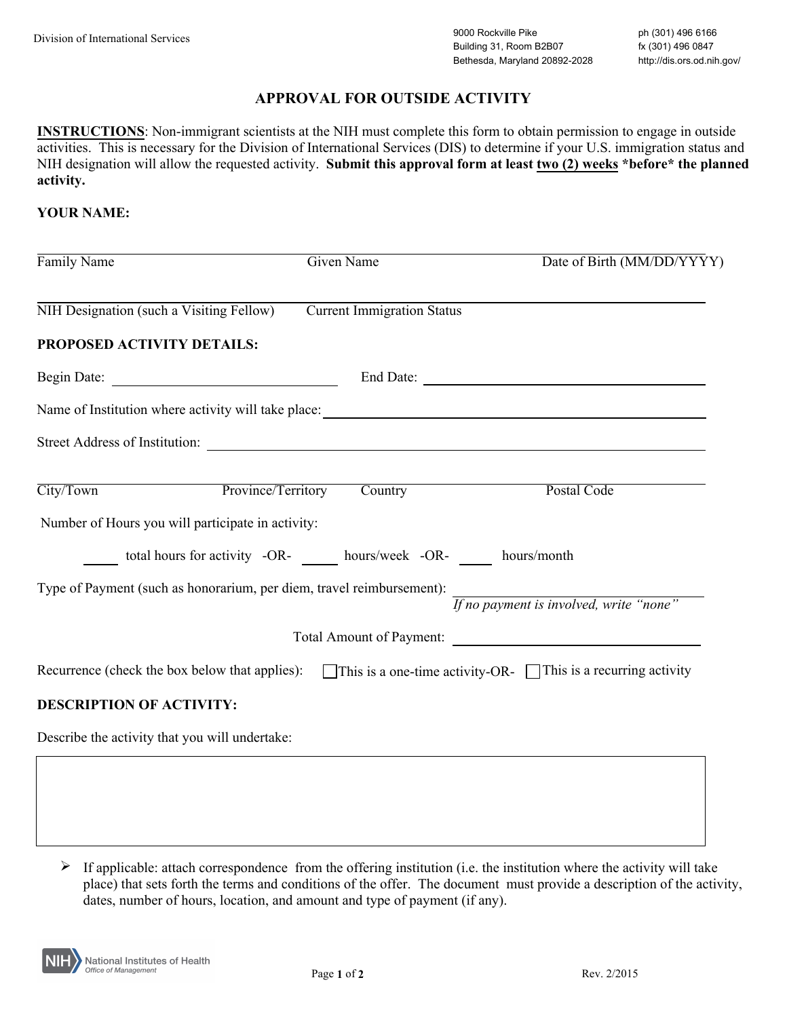# **APPROVAL FOR OUTSIDE ACTIVITY**

**INSTRUCTIONS**: Non-immigrant scientists at the NIH must complete this form to obtain permission to engage in outside activities. This is necessary for the Division of International Services (DIS) to determine if your U.S. immigration status and NIH designation will allow the requested activity. **Submit this approval form at least two (2) weeks \*before\* the planned activity.** 

## **YOUR NAME:**

| Family Name                                                                                                               | Given Name | Date of Birth (MM/DD/YYYY)              |
|---------------------------------------------------------------------------------------------------------------------------|------------|-----------------------------------------|
| NIH Designation (such a Visiting Fellow) Current Immigration Status                                                       |            |                                         |
| PROPOSED ACTIVITY DETAILS:                                                                                                |            |                                         |
|                                                                                                                           |            |                                         |
|                                                                                                                           |            |                                         |
| Street Address of Institution:                                                                                            |            |                                         |
| City/Town Province/Territory                                                                                              | Country    | Postal Code                             |
| Number of Hours you will participate in activity:                                                                         |            |                                         |
| total hours for activity -OR- hours/week -OR- hours/month                                                                 |            |                                         |
| Type of Payment (such as honorarium, per diem, travel reimbursement):                                                     |            | If no payment is involved, write "none" |
|                                                                                                                           |            | Total Amount of Payment:                |
| Recurrence (check the box below that applies): $\Box$ This is a one-time activity-OR- $\Box$ This is a recurring activity |            |                                         |
| <b>DESCRIPTION OF ACTIVITY:</b>                                                                                           |            |                                         |
| Describe the activity that you will undertake:                                                                            |            |                                         |

 $\triangleright$  If applicable: attach correspondence from the offering institution (i.e. the institution where the activity will take place) that sets forth the terms and conditions of the offer. The document must provide a description of the activity, dates, number of hours, location, and amount and type of payment (if any).